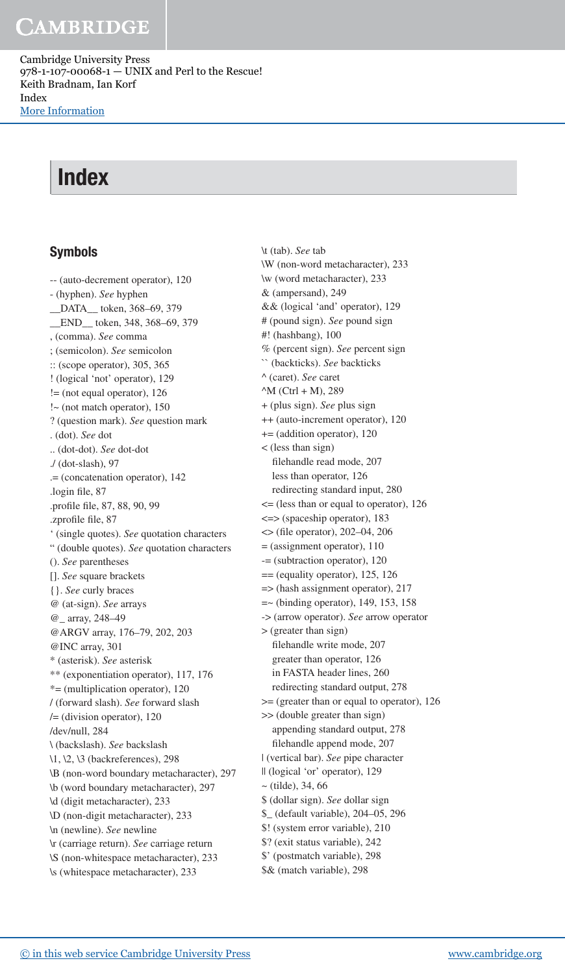Cambridge University Press 978-1-107-00068-1 — UNIX and Perl to the Rescue! Keith Bradnam, Ian Korf Index [More Information](www.cambridge.org/9781107000681)

# Index

#### Symbols

 -- (auto-decrement operator), 120 - (hyphen). *See* hyphen \_\_DATA\_\_ token, 368–69 , 379 \_\_END\_\_ token, 348 , 368–69 , 379 , (comma). *See* comma ; (semicolon). *See* semicolon :: (scope operator), 305 , 365 ! (logical 'not' operator), 129  $!=$  (not equal operator), 126 !~ (not match operator), 150 ? (question mark). *See* question mark . (dot). *See* dot .. (dot-dot). *See* dot-dot ./ (dot-slash), 97 .= (concatenation operator), 142 .login file, 87 .profile file, 87, 88, 90, 99 .zprofile file, 87 ' (single quotes). *See* quotation characters " (double quotes). *See* quotation characters (). *See* parentheses []. *See* square brackets {}. *See* curly braces @ (at-sign). *See* arrays @\_ array, 248–49 @ARGV array, 176-79, 202, 203 @INC array, 301 \* (asterisk). *See* asterisk \*\* (exponentiation operator), 117 , 176 \*= (multiplication operator), 120 / (forward slash). *See* forward slash /= (division operator), 120 /dev/null, 284 \ (backslash). *See* backslash \1, \2, \3 (backreferences), 298 \B (non-word boundary metacharacter), 297 \b (word boundary metacharacter) , 297 \d (digit metacharacter), 233 \D (non-digit metacharacter), 233 \n (newline). *See* newline \r (carriage return). *See* carriage return \S (non-whitespace metacharacter), 233 \s (whitespace metacharacter), 233

 \t (tab). *See* tab \W (non-word metacharacter), 233 \w (word metacharacter), 233 & (ampersand), 249 && (logical 'and' operator), 129 # (pound sign). *See* pound sign #! (hashbang), 100 % (percent sign). *See* percent sign `` (backticks). *See* backticks ^ (caret). *See* caret  $^{\wedge}$ M (Ctrl + M), 289 + (plus sign). *See* plus sign ++ (auto-increment operator), 120 += (addition operator), 120 < (less than sign) filehandle read mode, 207 less than operator, 126 redirecting standard input, 280 <= (less than or equal to operator), 126 <=> (spaceship operator), 183  $\leq$  (file operator), 202–04, 206 = (assignment operator), 110 -= (subtraction operator), 120  $==$  (equality operator), 125, 126 => (hash assignment operator), 217  $=\sim$  (binding operator), 149, 153, 158 -> (arrow operator). *See* arrow operator > (greater than sign) filehandle write mode, 207 greater than operator, 126 in FASTA header lines, 260 redirecting standard output, 278 >= (greater than or equal to operator), 126 >> (double greater than sign) appending standard output, 278 filehandle append mode, 207 | (vertical bar). *See* pipe character || (logical 'or' operator), 129  $\sim$  (tilde), 34, 66 \$ (dollar sign). *See* dollar sign \$\_ (default variable), 204–05 , 296 \$! (system error variable), 210 \$? (exit status variable), 242 \$' (postmatch variable), 298 \$& (match variable), 298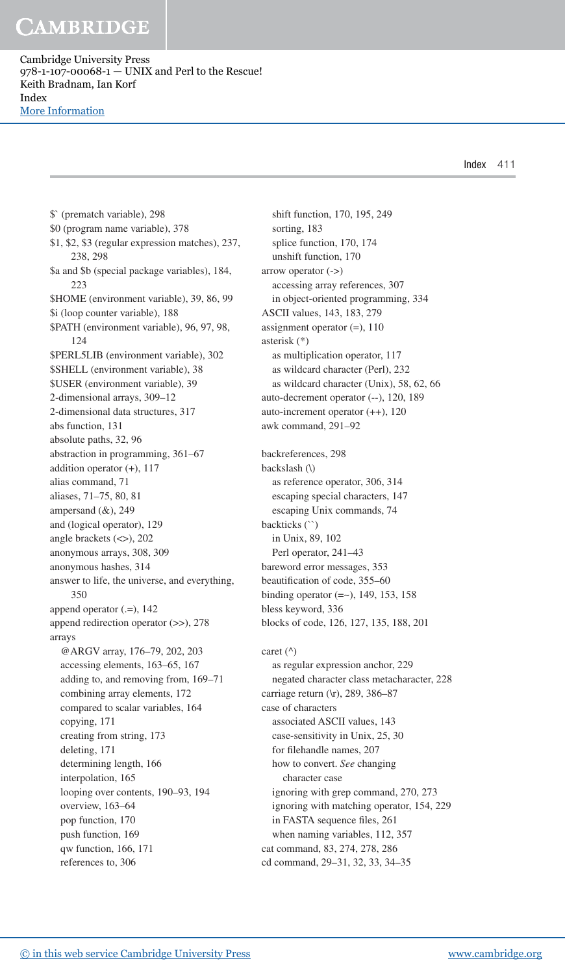Cambridge University Press 978-1-107-00068-1 — UNIX and Perl to the Rescue! Keith Bradnam, Ian Korf Index [More Information](www.cambridge.org/9781107000681)

Index 411

 \$` (prematch variable), 298 \$0 (program name variable), 378 \$1, \$2, \$3 (regular expression matches), 237 , 238 , 298 \$a and \$b (special package variables), 184, 223 \$HOME (environment variable), 39, 86, 99 \$i (loop counter variable), 188 \$PATH (environment variable), 96, 97, 98, 124 \$PERL5LIB (environment variable), 302 \$SHELL (environment variable), 38 \$USER (environment variable), 39 2-dimensional arrays, 309–12 2-dimensional data structures, 317 abs function, 131 absolute paths, 32, 96 abstraction in programming, 361–67 addition operator (+), 117 alias command, 71 aliases, 71–75, 80, 81 ampersand  $(\&)$ , 249 and (logical operator), 129 angle brackets (<>), 202 anonymous arrays, 308 , 309 anonymous hashes, 314 answer to life, the universe, and everything, 350 append operator  $(0, =)$ , 142 append redirection operator (>>), 278 arrays @ARGV array, 176-79, 202, 203 accessing elements, 163–65, 167 adding to, and removing from, 169–71 combining array elements, 172 compared to scalar variables, 164 copying, 171 creating from string, 173 deleting, 171 determining length, 166 interpolation, 165 looping over contents, 190–93, 194 overview, 163–64 pop function, 170 push function, 169 qw function, 166 , 171 references to, 306

shift function, 170, 195, 249 sorting, 183 splice function, 170, 174 unshift function, 170 arrow operator (->) accessing array references, 307 in object-oriented programming, 334 ASCII values, 143, 183, 279 assignment operator (=), 110 asterisk (\*) as multiplication operator, 117 as wildcard character (Perl), 232 as wildcard character (Unix), 58, 62, 66 auto-decrement operator (--), 120, 189 auto-increment operator (++), 120 awk command, 291–92 backreferences, 298 backslash (\) as reference operator, 306, 314 escaping special characters, 147 escaping Unix commands, 74 backticks (``) in Unix, 89, 102 Perl operator, 241–43 bareword error messages, 353 beautification of code, 355-60 binding operator  $(==)$ , 149, 153, 158 bless keyword, 336 blocks of code, 126, 127, 135, 188, 201 caret  $(^\wedge)$  as regular expression anchor, 229 negated character class metacharacter, 228 carriage return (\r), 289, 386-87 case of characters associated ASCII values, 143 case-sensitivity in Unix, 25, 30 for filehandle names, 207 how to convert. *See* changing character case ignoring with grep command, 270, 273 ignoring with matching operator, 154, 229 in FASTA sequence files, 261 when naming variables, 112, 357 cat command, 83, 274, 278, 286 cd command, 29–31 , 32 , 33 , 34–35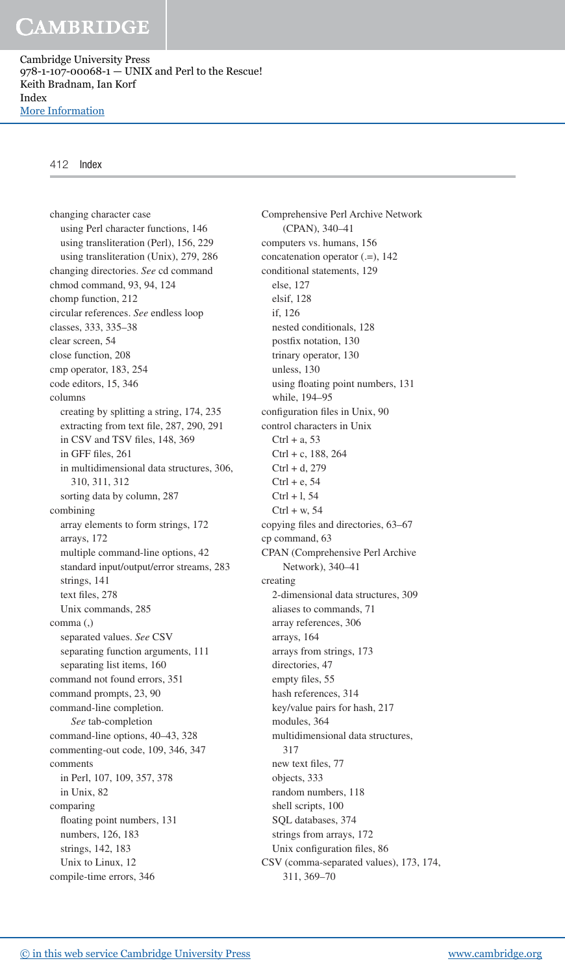Cambridge University Press 978-1-107-00068-1 — UNIX and Perl to the Rescue! Keith Bradnam, Ian Korf Index [More Information](www.cambridge.org/9781107000681)

#### 412 Index

 changing character case using Perl character functions, 146 using transliteration (Perl), 156, 229 using transliteration (Unix), 279, 286 changing directories. *See* cd command chmod command, 93, 94, 124 chomp function, 212 circular references. *See* endless loop classes, 333 , 335–38 clear screen, 54 close function, 208 cmp operator, 183, 254 code editors, 15, 346 columns creating by splitting a string, 174, 235 extracting from text file, 287, 290, 291 in CSV and TSV files, 148, 369 in GFF files, 261 in multidimensional data structures, 306, 310 , 311 , 312 sorting data by column, 287 combining array elements to form strings, 172 arrays, 172 multiple command-line options, 42 standard input/output/error streams, 283 strings, 141 text files, 278 Unix commands, 285 comma (,) separated values. *See* CSV separating function arguments, 111 separating list items, 160 command not found errors, 351 command prompts, 23, 90 command-line completion. *See* tab-completion command-line options, 40–43, 328 commenting-out code, 109, 346, 347 comments in Perl, 107, 109, 357, 378 in Unix, 82 comparing floating point numbers, 131 numbers, 126, 183 strings, 142, 183 Unix to Linux, 12 compile-time errors, 346

 Comprehensive Perl Archive Network (CPAN), 340–41 computers vs. humans, 156 concatenation operator (.=), 142 conditional statements, 129 else, 127 elsif, 128 if, 126 nested conditionals, 128 postfix notation, 130 trinary operator, 130 unless, 130 using floating point numbers, 131 while, 194–95 configuration files in Unix, 90 control characters in Unix  $Ctrl + a, 53$  $Ctrl + c, 188, 264$  Ctrl + d, 279  $Ctrl + e$ , 54  $Ctrl + 1, 54$  $Ctrl + w. 54$ copying files and directories, 63-67 cp command, 63 CPAN (Comprehensive Perl Archive Network), 340–41 creating 2-dimensional data structures, 309 aliases to commands, 71 array references, 306 arrays, 164 arrays from strings, 173 directories, 47 empty files, 55 hash references, 314 key/value pairs for hash, 217 modules, 364 multidimensional data structures, 317 new text files, 77 objects, 333 random numbers, 118 shell scripts, 100 SQL databases, 374 strings from arrays, 172 Unix configuration files, 86 CSV (comma-separated values), 173, 174, 311 , 369–70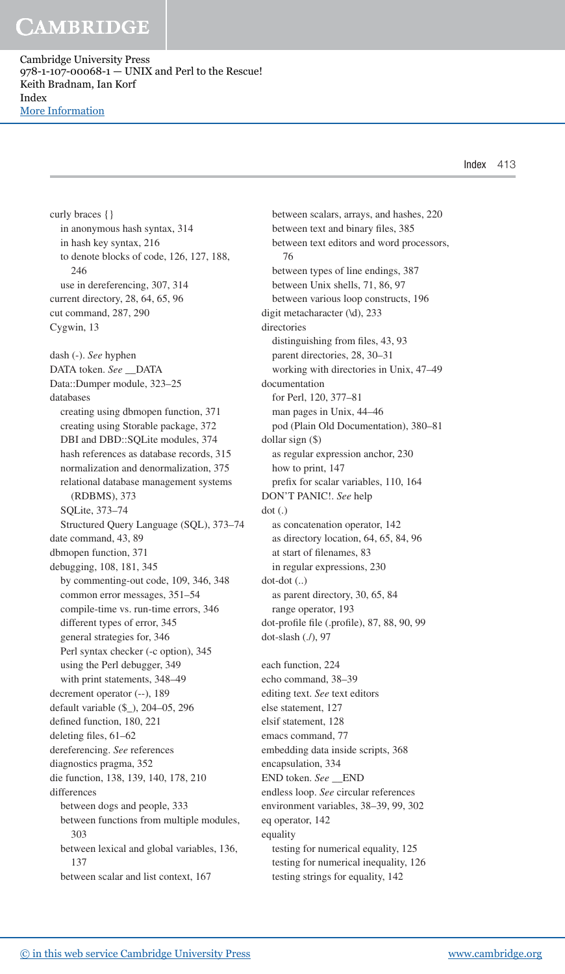Cambridge University Press 978-1-107-00068-1 — UNIX and Perl to the Rescue! Keith Bradnam, Ian Korf Index [More Information](www.cambridge.org/9781107000681)

 curly braces {} in anonymous hash syntax, 314 in hash key syntax, 216 to denote blocks of code, 126, 127, 188, 246 use in dereferencing, 307, 314 current directory, 28, 64, 65, 96 cut command, 287, 290 Cygwin, 13 dash (-). *See* hyphen DATA token. *See* \_\_DATA Data::Dumper module, 323–25 databases creating using dbmopen function, 371 creating using Storable package, 372 DBI and DBD::SQLite modules, 374 hash references as database records, 315 normalization and denormalization, 375 relational database management systems (RDBMS), 373 SQLite, 373–74 Structured Query Language (SQL), 373–74 date command, 43, 89 dbmopen function, 371 debugging, 108, 181, 345 by commenting-out code, 109, 346, 348 common error messages, 351–54 compile-time vs. run-time errors, 346 different types of error, 345 general strategies for, 346 Perl syntax checker (-c option), 345 using the Perl debugger, 349 with print statements, 348–49 decrement operator (--), 189 default variable (\$\_), 204–05 , 296 defined function, 180, 221 deleting files,  $61-62$  dereferencing. *See* references diagnostics pragma, 352 die function, 138, 139, 140, 178, 210 differences between dogs and people, 333 between functions from multiple modules, 303 between lexical and global variables, 136, 137 between scalar and list context, 167

 between scalars, arrays, and hashes, 220 between text and binary files, 385 between text editors and word processors, 76 between types of line endings, 387 between Unix shells, 71, 86, 97 between various loop constructs, 196 digit metacharacter (\d), 233 directories distinguishing from files, 43, 93 parent directories, 28, 30-31 working with directories in Unix, 47–49 documentation for Perl, 120, 377-81 man pages in Unix, 44–46 pod (Plain Old Documentation), 380–81 dollar sign (\$) as regular expression anchor, 230 how to print, 147 prefix for scalar variables, 110, 164 DON'T PANIC!. *See* help dot (.) as concatenation operator, 142 as directory location, 64, 65, 84, 96 at start of filenames, 83 in regular expressions, 230 dot-dot (..) as parent directory, 30, 65, 84 range operator, 193 dot-profile file (.profile), 87, 88, 90, 99 dot-slash (./), 97 each function, 224 echo command, 38–39 editing text. *See* text editors else statement, 127 elsif statement, 128 emacs command, 77 embedding data inside scripts, 368 encapsulation, 334 END token. *See* \_\_END endless loop. *See* circular references environment variables, 38–39, 99, 302 eq operator, 142 equality testing for numerical equality, 125 testing for numerical inequality, 126 testing strings for equality, 142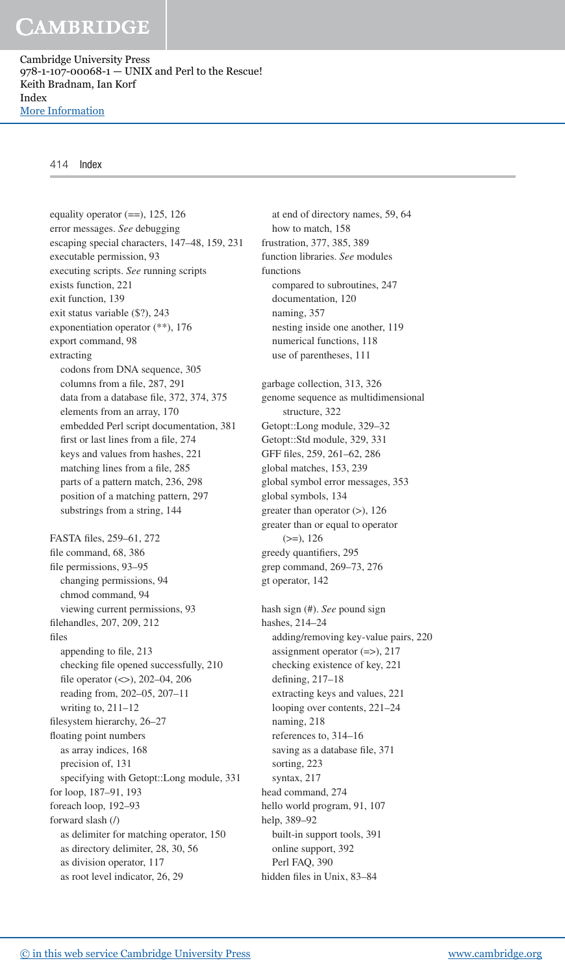Cambridge University Press 978-1-107-00068-1 — UNIX and Perl to the Rescue! Keith Bradnam, Ian Korf Index [More Information](www.cambridge.org/9781107000681)

#### 414 Index

equality operator  $(==)$ , 125, 126 error messages. *See* debugging escaping special characters, 147-48, 159, 231 executable permission, 93 executing scripts. *See* running scripts exists function, 221 exit function, 139 exit status variable (\$?), 243 exponentiation operator (\*\*), 176 export command, 98 extracting codons from DNA sequence, 305 columns from a file, 287, 291 data from a database file, 372, 374, 375 elements from an array, 170 embedded Perl script documentation, 381 first or last lines from a file, 274 keys and values from hashes, 221 matching lines from a file, 285 parts of a pattern match, 236, 298 position of a matching pattern, 297 substrings from a string, 144 FASTA files, 259-61, 272 file command, 68, 386 file permissions, 93-95 changing permissions, 94 chmod command, 94 viewing current permissions, 93 filehandles, 207, 209, 212 files appending to file, 213 checking file opened successfully, 210 file operator  $(<)$ , 202–04, 206 reading from, 202–05 , 207–11 writing to, 211–12 filesystem hierarchy, 26-27 floating point numbers as array indices, 168 precision of, 131 specifying with Getopt::Long module, 331 for loop, 187-91, 193 foreach loop, 192–93 forward slash (/) as delimiter for matching operator, 150 as directory delimiter, 28, 30, 56 as division operator, 117 as root level indicator, 26, 29

 at end of directory names, 59 , 64 how to match, 158 frustration, 377 , 385 , 389 function libraries. *See* modules functions compared to subroutines, 247 documentation, 120 naming, 357 nesting inside one another, 119 numerical functions, 118 use of parentheses, 111 garbage collection, 313 , 326 genome sequence as multidimensional structure, 322 Getopt::Long module, 329–32 Getopt::Std module, 329, 331 GFF files, 259, 261-62, 286 global matches, 153, 239 global symbol error messages, 353 global symbols, 134 greater than operator (>), 126 greater than or equal to operator  $(>=)$ , 126 greedy quantifiers, 295 grep command, 269–73 , 276 gt operator, 142 hash sign (#). *See* pound sign hashes, 214–24 adding/removing key-value pairs, 220 assignment operator (=>), 217 checking existence of key, 221 defining,  $217-18$  extracting keys and values, 221 looping over contents, 221–24 naming, 218 references to, 314–16 saving as a database file, 371 sorting, 223 syntax, 217 head command, 274 hello world program, 91, 107 help, 389–92 built-in support tools, 391 online support, 392 Perl FAQ, 390 hidden files in Unix, 83-84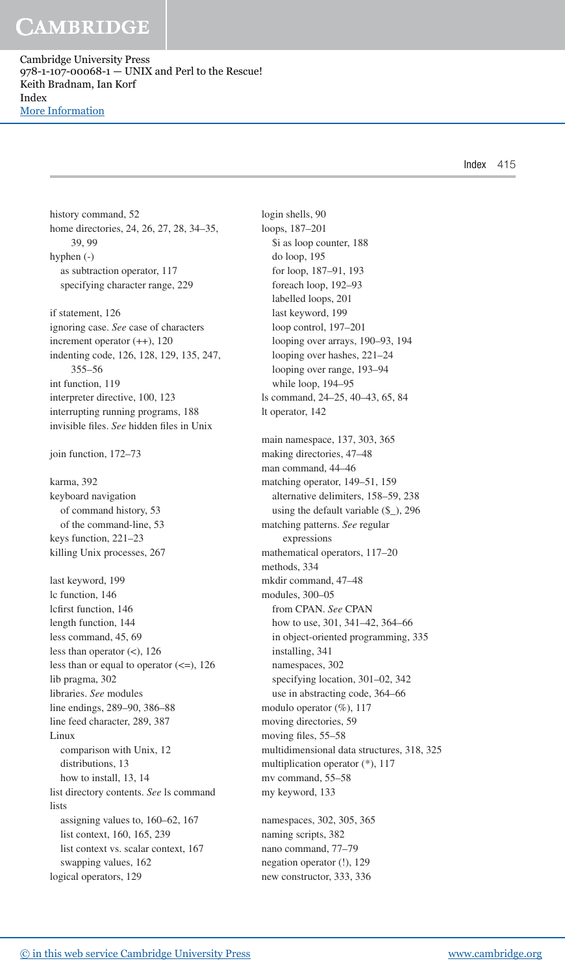Cambridge University Press 978-1-107-00068-1 — UNIX and Perl to the Rescue! Keith Bradnam, Ian Korf Index [More Information](www.cambridge.org/9781107000681)

Index 415

 history command, 52 home directories, 24, 26, 27, 28, 34-35, 39 , 99 hyphen (-) as subtraction operator, 117 specifying character range, 229

 if statement, 126 ignoring case. *See* case of characters increment operator (++), 120 indenting code, 126, 128, 129, 135, 247, 355–56 int function, 119 interpreter directive, 100, 123 interrupting running programs, 188 invisible files. See hidden files in Unix

join function, 172–73

 karma, 392 keyboard navigation of command history, 53 of the command-line, 53 keys function, 221–23 killing Unix processes, 267

 last keyword, 199 lc function, 146 lcfirst function, 146 length function, 144 less command, 45, 69 less than operator (<), 126 less than or equal to operator  $(\leq)$ , 126 lib pragma, 302 libraries. *See* modules line endings, 289–90, 386–88 line feed character, 289, 387 Linux comparison with Unix, 12 distributions, 13 how to install, 13, 14 list directory contents. *See* ls command lists assigning values to,  $160-62$ ,  $167$ list context, 160, 165, 239 list context vs. scalar context, 167 swapping values, 162 logical operators, 129

 login shells, 90 loops, 187–201 \$i as loop counter, 188 do loop, 195 for loop, 187-91, 193 foreach loop, 192–93 labelled loops, 201 last keyword, 199 loop control, 197–201 looping over arrays, 190–93, 194 looping over hashes, 221–24 looping over range, 193–94 while loop, 194–95 ls command, 24–25 , 40–43 , 65 , 84 lt operator, 142 main namespace, 137, 303, 365 making directories, 47–48 man command, 44–46 matching operator, 149-51, 159 alternative delimiters, 158-59, 238 using the default variable (\$\_), 296 matching patterns. *See* regular expressions mathematical operators, 117–20 methods, 334 mkdir command, 47–48 modules, 300–05 from CPAN. *See* CPAN how to use, 301, 341-42, 364-66 in object-oriented programming, 335 installing, 341 namespaces, 302 specifying location, 301-02, 342 use in abstracting code, 364–66 modulo operator (%), 117 moving directories, 59 moving files, 55–58 multidimensional data structures, 318 , 325 multiplication operator (\*), 117 mv command, 55–58 my keyword, 133 namespaces, 302, 305, 365

 naming scripts, 382 nano command, 77–79 negation operator (!), 129 new constructor, 333 , 336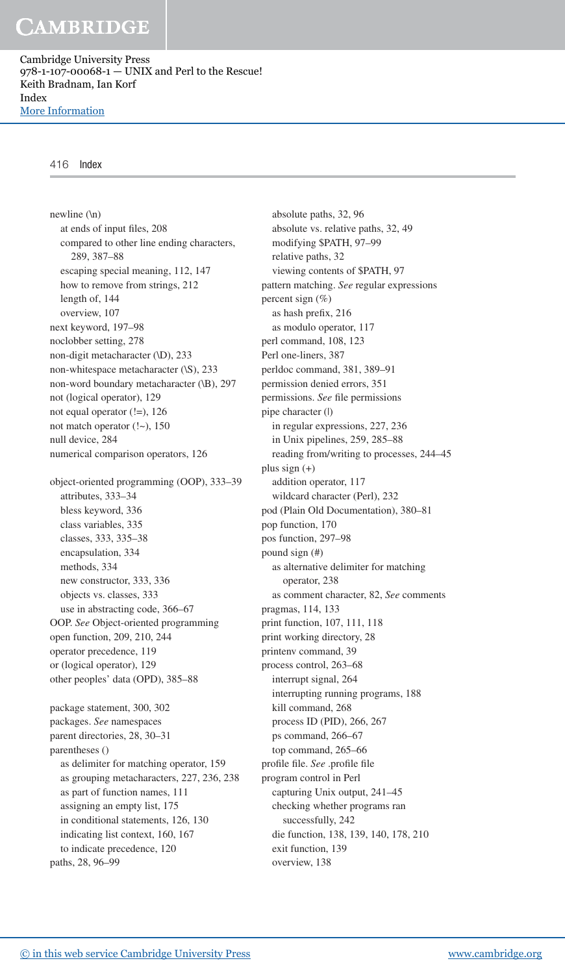Cambridge University Press 978-1-107-00068-1 — UNIX and Perl to the Rescue! Keith Bradnam, Ian Korf Index [More Information](www.cambridge.org/9781107000681)

#### 416 Index

 newline (\n) at ends of input files, 208 compared to other line ending characters, 289 , 387–88 escaping special meaning, 112, 147 how to remove from strings, 212 length of, 144 overview, 107 next keyword, 197–98 noclobber setting, 278 non-digit metacharacter (\D), 233 non-whitespace metacharacter (\S), 233 non-word boundary metacharacter (\B), 297 not (logical operator), 129 not equal operator (!=), 126 not match operator (!~), 150 null device, 284 numerical comparison operators, 126 object-oriented programming (OOP), 333–39 attributes, 333–34 bless keyword, 336 class variables, 335 classes, 333 , 335–38 encapsulation, 334 methods, 334 new constructor, 333, 336 objects vs. classes, 333 use in abstracting code, 366–67 OOP. *See* Object-oriented programming open function, 209, 210, 244 operator precedence, 119 or (logical operator), 129 other peoples' data (OPD), 385–88 package statement, 300, 302 packages. *See* namespaces parent directories, 28, 30-31 parentheses () as delimiter for matching operator, 159 as grouping metacharacters, 227, 236, 238

 as part of function names, 111 assigning an empty list, 175 in conditional statements, 126, 130 indicating list context, 160, 167 to indicate precedence, 120 paths, 28, 96-99

absolute paths, 32, 96 absolute vs. relative paths, 32, 49 modifying \$PATH, 97–99 relative paths, 32 viewing contents of \$PATH, 97 pattern matching. *See* regular expressions percent sign (%) as hash prefix, 216 as modulo operator, 117 perl command, 108, 123 Perl one-liners, 387 perldoc command, 381, 389-91 permission denied errors, 351 permissions. See file permissions pipe character (|) in regular expressions, 227, 236 in Unix pipelines, 259, 285-88 reading from/writing to processes, 244–45 plus sign (+) addition operator, 117 wildcard character (Perl), 232 pod (Plain Old Documentation), 380–81 pop function, 170 pos function, 297–98 pound sign (#) as alternative delimiter for matching operator, 238 as comment character, 82 , *See* comments pragmas, 114, 133 print function, 107, 111, 118 print working directory, 28 printenv command, 39 process control, 263–68 interrupt signal, 264 interrupting running programs, 188 kill command, 268 process ID (PID), 266, 267 ps command, 266–67 top command, 265–66 profile file. See .profile file program control in Perl capturing Unix output, 241–45 checking whether programs ran successfully, 242 die function, 138, 139, 140, 178, 210 exit function, 139 overview, 138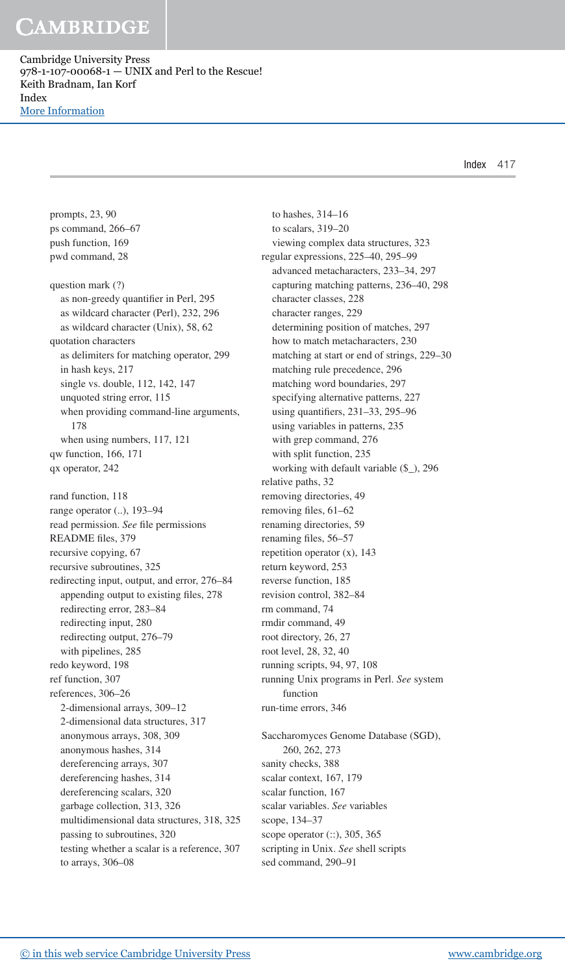Cambridge University Press 978-1-107-00068-1 — UNIX and Perl to the Rescue! Keith Bradnam, Ian Korf Index [More Information](www.cambridge.org/9781107000681)

Index 417

 prompts, 23 , 90 ps command, 266–67 push function, 169 pwd command, 28 question mark (?) as non-greedy quantifier in Perl, 295 as wildcard character (Perl), 232, 296 as wildcard character (Unix), 58, 62 quotation characters as delimiters for matching operator, 299 in hash keys, 217 single vs. double, 112, 142, 147 unquoted string error, 115 when providing command-line arguments, 178 when using numbers, 117, 121 qw function, 166, 171 qx operator, 242 rand function, 118 range operator (..), 193–94 read permission. See file permissions README files, 379 recursive copying, 67 recursive subroutines, 325 redirecting input, output, and error, 276–84 appending output to existing files, 278 redirecting error, 283–84 redirecting input, 280 redirecting output, 276–79 with pipelines, 285 redo keyword, 198 ref function, 307 references, 306–26 2-dimensional arrays, 309–12 2-dimensional data structures, 317 anonymous arrays, 308, 309 anonymous hashes, 314 dereferencing arrays, 307 dereferencing hashes, 314 dereferencing scalars, 320 garbage collection, 313, 326 multidimensional data structures, 318, 325 passing to subroutines, 320 testing whether a scalar is a reference, 307 to arrays, 306–08

 to hashes, 314–16 to scalars, 319–20 viewing complex data structures, 323 regular expressions, 225-40, 295-99 advanced metacharacters, 233–34 , 297 capturing matching patterns, 236-40, 298 character classes, 228 character ranges, 229 determining position of matches, 297 how to match metacharacters, 230 matching at start or end of strings, 229–30 matching rule precedence, 296 matching word boundaries, 297 specifying alternative patterns, 227 using quantifiers, 231-33, 295-96 using variables in patterns, 235 with grep command, 276 with split function, 235 working with default variable (\$\_), 296 relative paths, 32 removing directories, 49 removing files, 61-62 renaming directories, 59 renaming files, 56-57 repetition operator  $(x)$ , 143 return keyword, 253 reverse function, 185 revision control, 382–84 rm command, 74 rmdir command, 49 root directory, 26, 27 root level, 28, 32, 40 running scripts, 94, 97, 108 running Unix programs in Perl. *See* system function run-time errors, 346 Saccharomyces Genome Database (SGD), 260, 262, 273 sanity checks, 388 scalar context, 167, 179 scalar function, 167 scalar variables. *See* variables scope, 134–37 scope operator (::), 305, 365 scripting in Unix. *See* shell scripts sed command, 290–91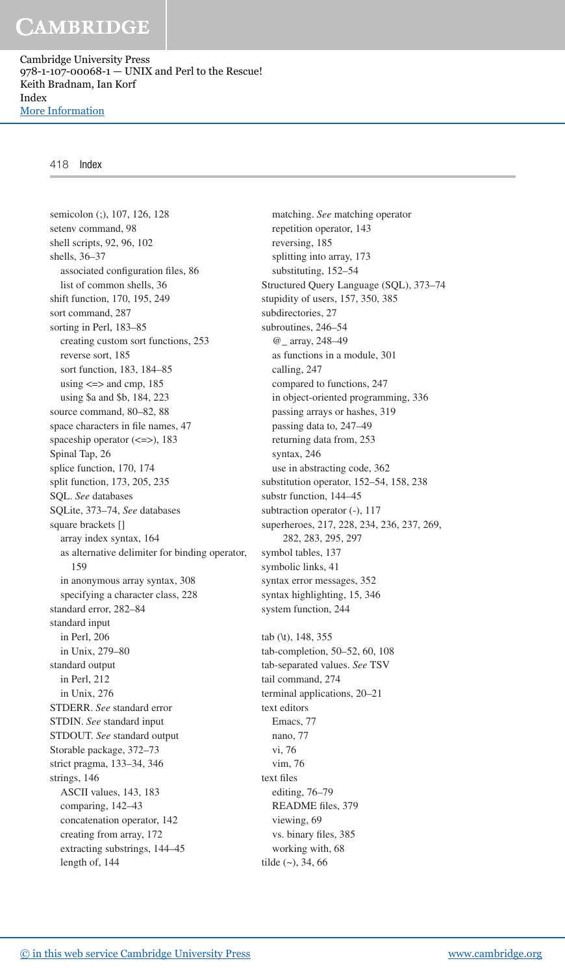Cambridge University Press 978-1-107-00068-1 — UNIX and Perl to the Rescue! Keith Bradnam, Ian Korf Index [More Information](www.cambridge.org/9781107000681)

#### 418 Index

semicolon (;), 107, 126, 128 setenv command, 98 shell scripts, 92, 96, 102 shells, 36–37 associated configuration files, 86 list of common shells, 36 shift function, 170, 195, 249 sort command, 287 sorting in Perl, 183–85 creating custom sort functions, 253 reverse sort, 185 sort function, 183, 184-85 using  $\leq$  > and cmp, 185 using \$a and \$b, 184, 223 source command, 80-82, 88 space characters in file names, 47 spaceship operator (<=>), 183 Spinal Tap, 26 splice function, 170, 174 split function, 173, 205, 235 SQL. *See* databases SQLite, 373–74 , *See* databases square brackets [] array index syntax, 164 as alternative delimiter for binding operator, 159 in anonymous array syntax, 308 specifying a character class, 228 standard error, 282–84 standard input in Perl, 206 in Unix, 279–80 standard output in Perl, 212 in Unix, 276 STDERR. *See* standard error STDIN. *See* standard input STDOUT. *See* standard output Storable package, 372–73 strict pragma, 133–34 , 346 strings, 146 ASCII values, 143, 183 comparing, 142–43 concatenation operator, 142 creating from array, 172 extracting substrings, 144–45 length of, 144

 matching. *See* matching operator repetition operator, 143 reversing, 185 splitting into array, 173 substituting, 152–54 Structured Query Language (SQL), 373–74 stupidity of users, 157, 350, 385 subdirectories, 27 subroutines, 246–54 @\_ array, 248–49 as functions in a module, 301 calling, 247 compared to functions, 247 in object-oriented programming, 336 passing arrays or hashes, 319 passing data to, 247–49 returning data from, 253 syntax, 246 use in abstracting code, 362 substitution operator, 152-54, 158, 238 substr function, 144–45 subtraction operator (-), 117 superheroes, 217, 228, 234, 236, 237, 269, 282 , 283 , 295 , 297 symbol tables, 137 symbolic links, 41 syntax error messages, 352 syntax highlighting, 15, 346 system function, 244 tab (\t), 148, 355 tab-completion, 50-52, 60, 108 tab-separated values. *See* TSV tail command, 274 terminal applications, 20–21 text editors Emacs, 77 nano, 77 vi, 76 vim, 76 text files editing, 76–79 README files, 379 viewing, 69 vs. binary files, 385 working with, 68

tilde  $(-), 34, 66$